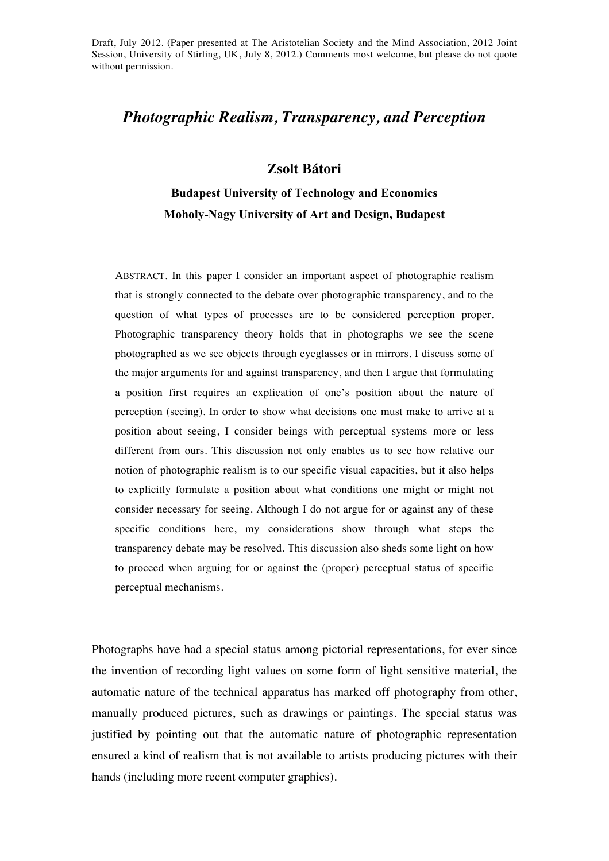Draft, July 2012. (Paper presented at The Aristotelian Society and the Mind Association, 2012 Joint Session, University of Stirling, UK, July 8, 2012.) Comments most welcome, but please do not quote without permission.

## *Photographic Realism, Transparency, and Perception*

## **Zsolt Bátori**

**Budapest University of Technology and Economics Moholy-Nagy University of Art and Design, Budapest**

ABSTRACT. In this paper I consider an important aspect of photographic realism that is strongly connected to the debate over photographic transparency, and to the question of what types of processes are to be considered perception proper. Photographic transparency theory holds that in photographs we see the scene photographed as we see objects through eyeglasses or in mirrors. I discuss some of the major arguments for and against transparency, and then I argue that formulating a position first requires an explication of one's position about the nature of perception (seeing). In order to show what decisions one must make to arrive at a position about seeing, I consider beings with perceptual systems more or less different from ours. This discussion not only enables us to see how relative our notion of photographic realism is to our specific visual capacities, but it also helps to explicitly formulate a position about what conditions one might or might not consider necessary for seeing. Although I do not argue for or against any of these specific conditions here, my considerations show through what steps the transparency debate may be resolved. This discussion also sheds some light on how to proceed when arguing for or against the (proper) perceptual status of specific perceptual mechanisms.

Photographs have had a special status among pictorial representations, for ever since the invention of recording light values on some form of light sensitive material, the automatic nature of the technical apparatus has marked off photography from other, manually produced pictures, such as drawings or paintings. The special status was justified by pointing out that the automatic nature of photographic representation ensured a kind of realism that is not available to artists producing pictures with their hands (including more recent computer graphics).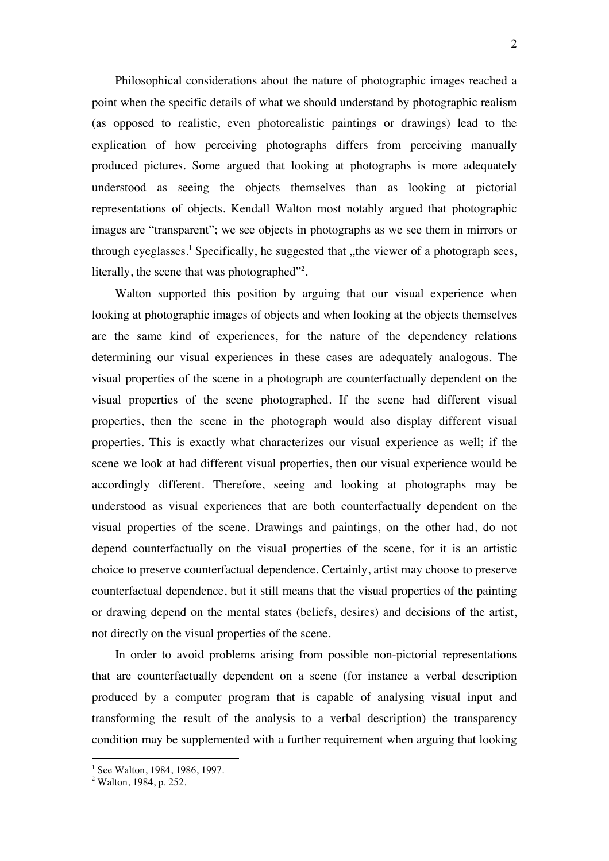Philosophical considerations about the nature of photographic images reached a point when the specific details of what we should understand by photographic realism (as opposed to realistic, even photorealistic paintings or drawings) lead to the explication of how perceiving photographs differs from perceiving manually produced pictures. Some argued that looking at photographs is more adequately understood as seeing the objects themselves than as looking at pictorial representations of objects. Kendall Walton most notably argued that photographic images are "transparent"; we see objects in photographs as we see them in mirrors or through eyeglasses.<sup>1</sup> Specifically, he suggested that "the viewer of a photograph sees, literally, the scene that was photographed"<sup>2</sup>.

Walton supported this position by arguing that our visual experience when looking at photographic images of objects and when looking at the objects themselves are the same kind of experiences, for the nature of the dependency relations determining our visual experiences in these cases are adequately analogous. The visual properties of the scene in a photograph are counterfactually dependent on the visual properties of the scene photographed. If the scene had different visual properties, then the scene in the photograph would also display different visual properties. This is exactly what characterizes our visual experience as well; if the scene we look at had different visual properties, then our visual experience would be accordingly different. Therefore, seeing and looking at photographs may be understood as visual experiences that are both counterfactually dependent on the visual properties of the scene. Drawings and paintings, on the other had, do not depend counterfactually on the visual properties of the scene, for it is an artistic choice to preserve counterfactual dependence. Certainly, artist may choose to preserve counterfactual dependence, but it still means that the visual properties of the painting or drawing depend on the mental states (beliefs, desires) and decisions of the artist, not directly on the visual properties of the scene.

In order to avoid problems arising from possible non-pictorial representations that are counterfactually dependent on a scene (for instance a verbal description produced by a computer program that is capable of analysing visual input and transforming the result of the analysis to a verbal description) the transparency condition may be supplemented with a further requirement when arguing that looking

  $<sup>1</sup>$  See Walton, 1984, 1986, 1997.</sup>

 $2$  Walton, 1984, p. 252.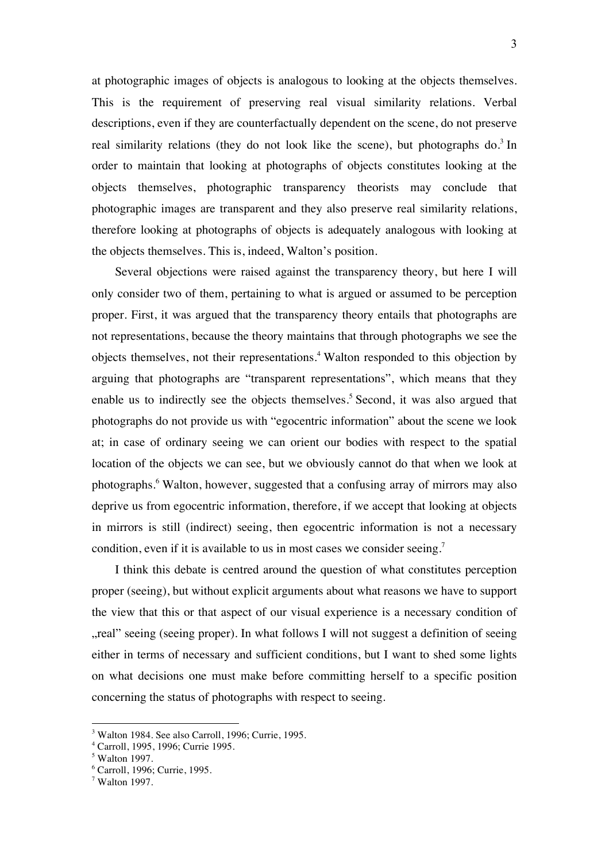at photographic images of objects is analogous to looking at the objects themselves. This is the requirement of preserving real visual similarity relations. Verbal descriptions, even if they are counterfactually dependent on the scene, do not preserve real similarity relations (they do not look like the scene), but photographs  $do^3$  In order to maintain that looking at photographs of objects constitutes looking at the objects themselves, photographic transparency theorists may conclude that photographic images are transparent and they also preserve real similarity relations, therefore looking at photographs of objects is adequately analogous with looking at the objects themselves. This is, indeed, Walton's position.

Several objections were raised against the transparency theory, but here I will only consider two of them, pertaining to what is argued or assumed to be perception proper. First, it was argued that the transparency theory entails that photographs are not representations, because the theory maintains that through photographs we see the objects themselves, not their representations.<sup>4</sup> Walton responded to this objection by arguing that photographs are "transparent representations", which means that they enable us to indirectly see the objects themselves.<sup>5</sup> Second, it was also argued that photographs do not provide us with "egocentric information" about the scene we look at; in case of ordinary seeing we can orient our bodies with respect to the spatial location of the objects we can see, but we obviously cannot do that when we look at photographs.<sup>6</sup> Walton, however, suggested that a confusing array of mirrors may also deprive us from egocentric information, therefore, if we accept that looking at objects in mirrors is still (indirect) seeing, then egocentric information is not a necessary condition, even if it is available to us in most cases we consider seeing.<sup>7</sup>

I think this debate is centred around the question of what constitutes perception proper (seeing), but without explicit arguments about what reasons we have to support the view that this or that aspect of our visual experience is a necessary condition of "real" seeing (seeing proper). In what follows I will not suggest a definition of seeing either in terms of necessary and sufficient conditions, but I want to shed some lights on what decisions one must make before committing herself to a specific position concerning the status of photographs with respect to seeing.

 

<sup>3</sup> Walton 1984. See also Carroll, 1996; Currie, 1995.

<sup>4</sup> Carroll, 1995, 1996; Currie 1995.

<sup>5</sup> Walton 1997.

<sup>6</sup> Carroll, 1996; Currie, 1995.

<sup>7</sup> Walton 1997.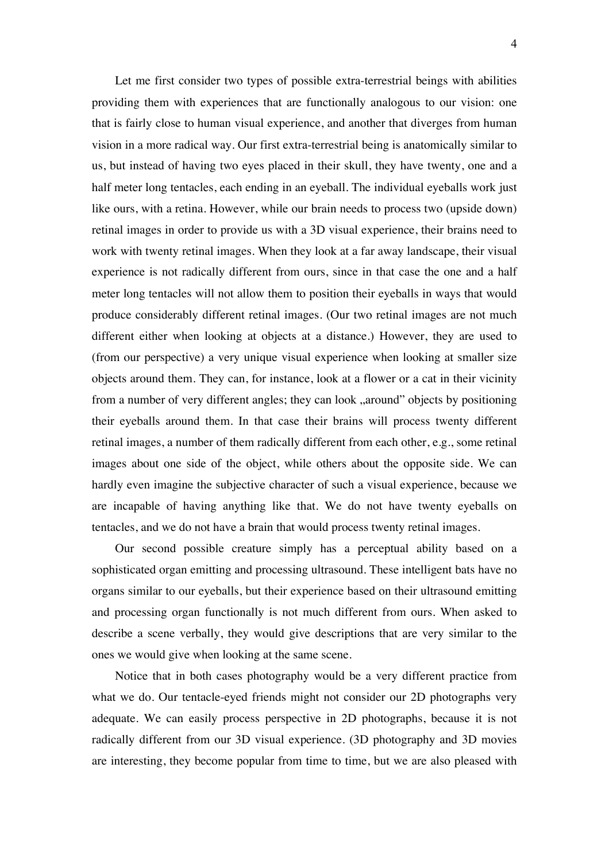Let me first consider two types of possible extra-terrestrial beings with abilities providing them with experiences that are functionally analogous to our vision: one that is fairly close to human visual experience, and another that diverges from human vision in a more radical way. Our first extra-terrestrial being is anatomically similar to us, but instead of having two eyes placed in their skull, they have twenty, one and a half meter long tentacles, each ending in an eyeball. The individual eyeballs work just like ours, with a retina. However, while our brain needs to process two (upside down) retinal images in order to provide us with a 3D visual experience, their brains need to work with twenty retinal images. When they look at a far away landscape, their visual experience is not radically different from ours, since in that case the one and a half meter long tentacles will not allow them to position their eyeballs in ways that would produce considerably different retinal images. (Our two retinal images are not much different either when looking at objects at a distance.) However, they are used to (from our perspective) a very unique visual experience when looking at smaller size objects around them. They can, for instance, look at a flower or a cat in their vicinity from a number of very different angles; they can look "around" objects by positioning their eyeballs around them. In that case their brains will process twenty different retinal images, a number of them radically different from each other, e.g., some retinal images about one side of the object, while others about the opposite side. We can hardly even imagine the subjective character of such a visual experience, because we are incapable of having anything like that. We do not have twenty eyeballs on tentacles, and we do not have a brain that would process twenty retinal images.

Our second possible creature simply has a perceptual ability based on a sophisticated organ emitting and processing ultrasound. These intelligent bats have no organs similar to our eyeballs, but their experience based on their ultrasound emitting and processing organ functionally is not much different from ours. When asked to describe a scene verbally, they would give descriptions that are very similar to the ones we would give when looking at the same scene.

Notice that in both cases photography would be a very different practice from what we do. Our tentacle-eyed friends might not consider our 2D photographs very adequate. We can easily process perspective in 2D photographs, because it is not radically different from our 3D visual experience. (3D photography and 3D movies are interesting, they become popular from time to time, but we are also pleased with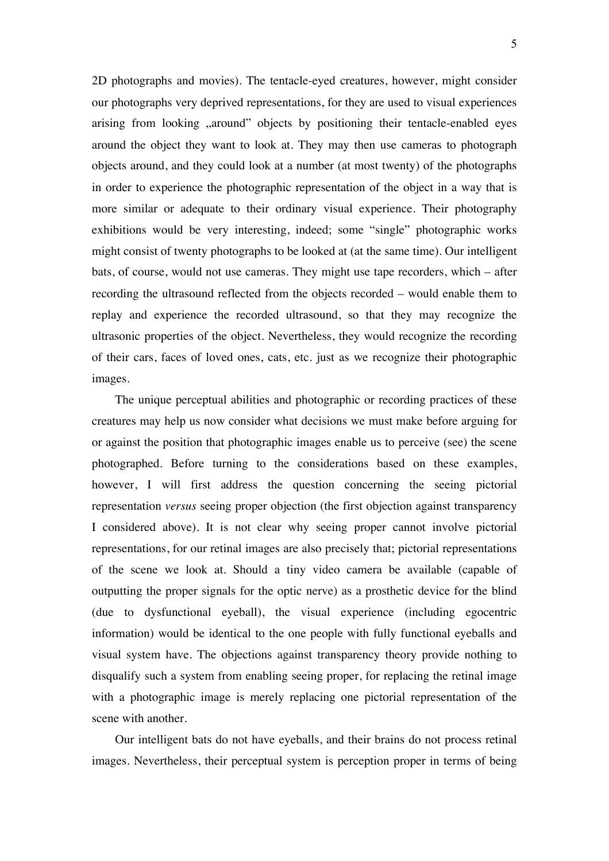2D photographs and movies). The tentacle-eyed creatures, however, might consider our photographs very deprived representations, for they are used to visual experiences arising from looking "around" objects by positioning their tentacle-enabled eyes around the object they want to look at. They may then use cameras to photograph objects around, and they could look at a number (at most twenty) of the photographs in order to experience the photographic representation of the object in a way that is more similar or adequate to their ordinary visual experience. Their photography exhibitions would be very interesting, indeed; some "single" photographic works might consist of twenty photographs to be looked at (at the same time). Our intelligent bats, of course, would not use cameras. They might use tape recorders, which – after recording the ultrasound reflected from the objects recorded – would enable them to replay and experience the recorded ultrasound, so that they may recognize the ultrasonic properties of the object. Nevertheless, they would recognize the recording of their cars, faces of loved ones, cats, etc. just as we recognize their photographic images.

The unique perceptual abilities and photographic or recording practices of these creatures may help us now consider what decisions we must make before arguing for or against the position that photographic images enable us to perceive (see) the scene photographed. Before turning to the considerations based on these examples, however, I will first address the question concerning the seeing pictorial representation *versus* seeing proper objection (the first objection against transparency I considered above). It is not clear why seeing proper cannot involve pictorial representations, for our retinal images are also precisely that; pictorial representations of the scene we look at. Should a tiny video camera be available (capable of outputting the proper signals for the optic nerve) as a prosthetic device for the blind (due to dysfunctional eyeball), the visual experience (including egocentric information) would be identical to the one people with fully functional eyeballs and visual system have. The objections against transparency theory provide nothing to disqualify such a system from enabling seeing proper, for replacing the retinal image with a photographic image is merely replacing one pictorial representation of the scene with another.

Our intelligent bats do not have eyeballs, and their brains do not process retinal images. Nevertheless, their perceptual system is perception proper in terms of being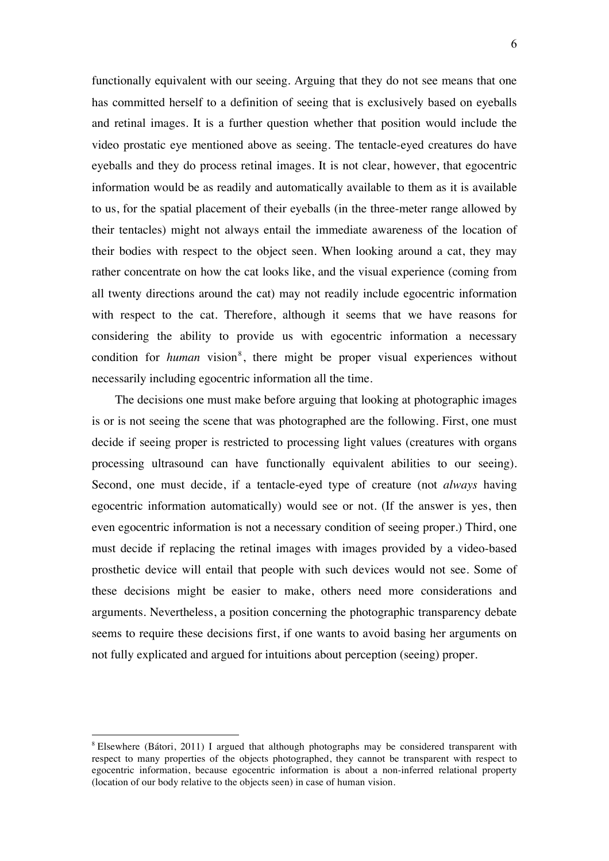functionally equivalent with our seeing. Arguing that they do not see means that one has committed herself to a definition of seeing that is exclusively based on eyeballs and retinal images. It is a further question whether that position would include the video prostatic eye mentioned above as seeing. The tentacle-eyed creatures do have eyeballs and they do process retinal images. It is not clear, however, that egocentric information would be as readily and automatically available to them as it is available to us, for the spatial placement of their eyeballs (in the three-meter range allowed by their tentacles) might not always entail the immediate awareness of the location of their bodies with respect to the object seen. When looking around a cat, they may rather concentrate on how the cat looks like, and the visual experience (coming from all twenty directions around the cat) may not readily include egocentric information with respect to the cat. Therefore, although it seems that we have reasons for considering the ability to provide us with egocentric information a necessary condition for *human* vision<sup>8</sup>, there might be proper visual experiences without necessarily including egocentric information all the time.

The decisions one must make before arguing that looking at photographic images is or is not seeing the scene that was photographed are the following. First, one must decide if seeing proper is restricted to processing light values (creatures with organs processing ultrasound can have functionally equivalent abilities to our seeing). Second, one must decide, if a tentacle-eyed type of creature (not *always* having egocentric information automatically) would see or not. (If the answer is yes, then even egocentric information is not a necessary condition of seeing proper.) Third, one must decide if replacing the retinal images with images provided by a video-based prosthetic device will entail that people with such devices would not see. Some of these decisions might be easier to make, others need more considerations and arguments. Nevertheless, a position concerning the photographic transparency debate seems to require these decisions first, if one wants to avoid basing her arguments on not fully explicated and argued for intuitions about perception (seeing) proper.

 

<sup>8</sup> Elsewhere (Bátori, 2011) I argued that although photographs may be considered transparent with respect to many properties of the objects photographed, they cannot be transparent with respect to egocentric information, because egocentric information is about a non-inferred relational property (location of our body relative to the objects seen) in case of human vision.